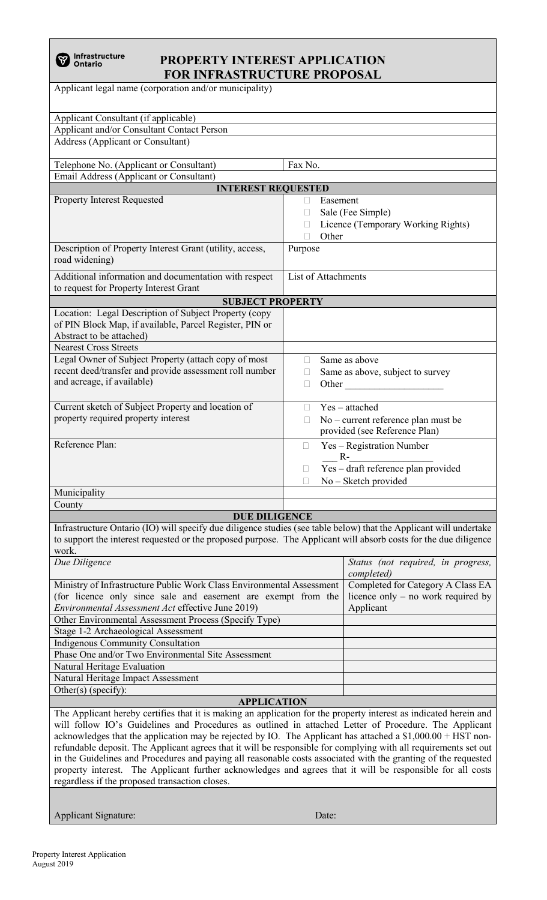## **PROPERTY INTEREST APPLICATION FOR INFRASTRUCTURE PROPOSAL**

Applicant legal name (corporation and/or municipality) Applicant Consultant (if applicable) Applicant and/or Consultant Contact Person

| Address (Applicant or Consultant)                                                                                                             |                                                                                                                                                                                                                                                                                                               |  |
|-----------------------------------------------------------------------------------------------------------------------------------------------|---------------------------------------------------------------------------------------------------------------------------------------------------------------------------------------------------------------------------------------------------------------------------------------------------------------|--|
| Telephone No. (Applicant or Consultant)                                                                                                       | Fax No.                                                                                                                                                                                                                                                                                                       |  |
| Email Address (Applicant or Consultant)                                                                                                       |                                                                                                                                                                                                                                                                                                               |  |
| <b>INTEREST REQUESTED</b>                                                                                                                     |                                                                                                                                                                                                                                                                                                               |  |
| <b>Property Interest Requested</b>                                                                                                            | Easement<br>Sale (Fee Simple)<br>Licence (Temporary Working Rights)                                                                                                                                                                                                                                           |  |
|                                                                                                                                               | Other<br>П                                                                                                                                                                                                                                                                                                    |  |
| Description of Property Interest Grant (utility, access,<br>road widening)                                                                    | Purpose                                                                                                                                                                                                                                                                                                       |  |
| Additional information and documentation with respect<br>to request for Property Interest Grant                                               | List of Attachments                                                                                                                                                                                                                                                                                           |  |
| <b>SUBJECT PROPERTY</b>                                                                                                                       |                                                                                                                                                                                                                                                                                                               |  |
| Location: Legal Description of Subject Property (copy)<br>of PIN Block Map, if available, Parcel Register, PIN or<br>Abstract to be attached) |                                                                                                                                                                                                                                                                                                               |  |
| <b>Nearest Cross Streets</b>                                                                                                                  |                                                                                                                                                                                                                                                                                                               |  |
| Legal Owner of Subject Property (attach copy of most<br>recent deed/transfer and provide assessment roll number<br>and acreage, if available) | Same as above<br>$\Box$<br>Same as above, subject to survey<br>П<br>Other <u>the contract of the contract of the contract of the contract of the contract of the contract of the contract of the contract of the contract of the contract of the contract of the contract of the contract of the con</u><br>П |  |
| Current sketch of Subject Property and location of                                                                                            | $Yes - attached$<br>П                                                                                                                                                                                                                                                                                         |  |
| property required property interest                                                                                                           | No – current reference plan must be<br>provided (see Reference Plan)                                                                                                                                                                                                                                          |  |
| Reference Plan:                                                                                                                               | Yes - Registration Number<br>$\mathbb{R}$<br>$R-$<br>Yes - draft reference plan provided<br>$\mathbb{R}^n$                                                                                                                                                                                                    |  |
|                                                                                                                                               | No - Sketch provided                                                                                                                                                                                                                                                                                          |  |
| Municipality                                                                                                                                  |                                                                                                                                                                                                                                                                                                               |  |
| County                                                                                                                                        |                                                                                                                                                                                                                                                                                                               |  |
| <b>DUE DILIGENCE</b>                                                                                                                          |                                                                                                                                                                                                                                                                                                               |  |

Infrastructure Ontario (IO) will specify due diligence studies (see table below) that the Applicant will undertake to support the interest requested or the proposed purpose. The Applicant will absorb costs for the due diligence work.

| Due Diligence                                                         | Status (not required, in progress, |
|-----------------------------------------------------------------------|------------------------------------|
|                                                                       | completed)                         |
| Ministry of Infrastructure Public Work Class Environmental Assessment | Completed for Category A Class EA  |
| (for licence only since sale and easement are exempt from the         | licence only – no work required by |
| Environmental Assessment Act effective June 2019)                     | Applicant                          |
| Other Environmental Assessment Process (Specify Type)                 |                                    |
| Stage 1-2 Archaeological Assessment                                   |                                    |
| Indigenous Community Consultation                                     |                                    |
| Phase One and/or Two Environmental Site Assessment                    |                                    |
| Natural Heritage Evaluation                                           |                                    |
| Natural Heritage Impact Assessment                                    |                                    |
| Other(s) (specify):                                                   |                                    |

## **APPLICATION**

The Applicant hereby certifies that it is making an application for the property interest as indicated herein and will follow IO's Guidelines and Procedures as outlined in attached Letter of Procedure. The Applicant acknowledges that the application may be rejected by IO. The Applicant has attached a \$1,000.00 + HST nonrefundable deposit. The Applicant agrees that it will be responsible for complying with all requirements set out in the Guidelines and Procedures and paying all reasonable costs associated with the granting of the requested property interest. The Applicant further acknowledges and agrees that it will be responsible for all costs regardless if the proposed transaction closes.

Applicant Signature: Date: Date: